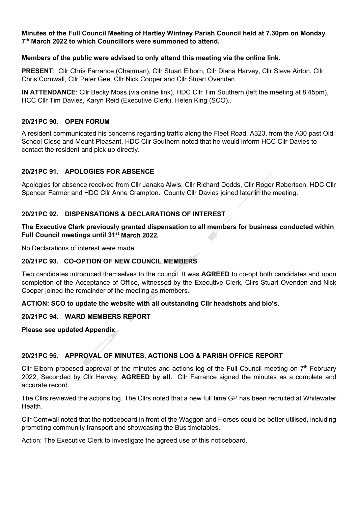#### **Minutes of the Full Council Meeting of Hartley Wintney Parish Council held at 7.30pm on Monday 7th March 2022 to which Councillors were summoned to attend.**

### **Members of the public were advised to only attend this meeting via the online link.**

**PRESENT**: Cllr Chris Farrance (Chairman), Cllr Stuart Elborn, Cllr Diana Harvey, Cllr Steve Airton, Cllr Chris Cornwall, Cllr Peter Gee, Cllr Nick Cooper and Cllr Stuart Ovenden.

**IN ATTENDANCE**: Cllr Becky Moss (via online link), HDC Cllr Tim Southern (left the meeting at 8.45pm), HCC Cllr Tim Davies, Karyn Reid (Executive Clerk), Helen King (SCO)..

#### **20/21PC 90. OPEN FORUM**

A resident communicated his concerns regarding traffic along the Fleet Road, A323, from the A30 past Old School Close and Mount Pleasant. HDC Cllr Southern noted that he would inform HCC Cllr Davies to contact the resident and pick up directly.

### **20/21PC 91. APOLOGIES FOR ABSENCE**

Apologies for absence received from Cllr Janaka Alwis, Cllr Richard Dodds, Cllr Roger Robertson, HDC Cllr Spencer Farmer and HDC Cllr Anne Crampton. County Cllr Davies joined later in the meeting.

## **20/21PC 92. DISPENSATIONS & DECLARATIONS OF INTEREST**

**The Executive Clerk previously granted dispensation to all members for business conducted within Full Council meetings until 31st March 2022.**

No Declarations of interest were made.

# **20/21PC 93. CO-OPTION OF NEW COUNCIL MEMBERS**

Two candidates introduced themselves to the council. It was **AGREED** to co-opt both candidates and upon completion of the Acceptance of Office, witnessed by the Executive Clerk, Cllrs Stuart Ovenden and Nick Cooper joined the remainder of the meeting as members.

**ACTION: SCO to update the website with all outstanding Cllr headshots and bio's.**

#### **20/21PC 94. WARD MEMBERS REPORT**

**Please see updated Appendix**

## **20/21PC 95. APPROVAL OF MINUTES, ACTIONS LOG & PARISH OFFICE REPORT**

Cllr Elborn proposed approval of the minutes and actions log of the Full Council meeting on  $7<sup>th</sup>$  February 2022, Seconded by Cllr Harvey. **AGREED by all.** Cllr Farrance signed the minutes as a complete and accurate record.

The Cllrs reviewed the actions log. The Cllrs noted that a new full time GP has been recruited at Whitewater **Health** 

Cllr Cornwall noted that the noticeboard in front of the Waggon and Horses could be better utilised, including promoting community transport and showcasing the Bus timetables.

Action: The Executive Clerk to investigate the agreed use of this noticeboard.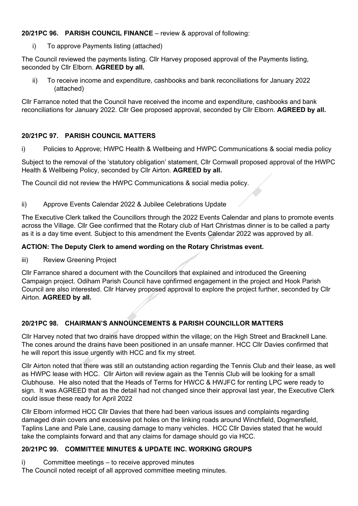## **20/21PC 96. PARISH COUNCIL FINANCE** – review & approval of following:

i) To approve Payments listing (attached)

The Council reviewed the payments listing. Cllr Harvey proposed approval of the Payments listing, seconded by Cllr Elborn. **AGREED by all.**

ii) To receive income and expenditure, cashbooks and bank reconciliations for January 2022 (attached)

Cllr Farrance noted that the Council have received the income and expenditure, cashbooks and bank reconciliations for January 2022. Cllr Gee proposed approval, seconded by Cllr Elborn. **AGREED by all.**

## **20/21PC 97. PARISH COUNCIL MATTERS**

i) Policies to Approve; HWPC Health & Wellbeing and HWPC Communications & social media policy

Subject to the removal of the 'statutory obligation' statement, Cllr Cornwall proposed approval of the HWPC Health & Wellbeing Policy, seconded by Cllr Airton. **AGREED by all.**

The Council did not review the HWPC Communications & social media policy.

#### ii) Approve Events Calendar 2022 & Jubilee Celebrations Update

The Executive Clerk talked the Councillors through the 2022 Events Calendar and plans to promote events across the Village. Cllr Gee confirmed that the Rotary club of Hart Christmas dinner is to be called a party as it is a day time event. Subject to this amendment the Events Calendar 2022 was approved by all.

### **ACTION: The Deputy Clerk to amend wording on the Rotary Christmas event.**

iii) Review Greening Project

Cllr Farrance shared a document with the Councillors that explained and introduced the Greening Campaign project. Odiham Parish Council have confirmed engagement in the project and Hook Parish Council are also interested. Cllr Harvey proposed approval to explore the project further, seconded by Cllr Airton. **AGREED by all.**

## **20/21PC 98. CHAIRMAN'S ANNOUNCEMENTS & PARISH COUNCILLOR MATTERS**

Cllr Harvey noted that two drains have dropped within the village; on the High Street and Bracknell Lane. The cones around the drains have been positioned in an unsafe manner. HCC Cllr Davies confirmed that he will report this issue urgently with HCC and fix my street.

Cllr Airton noted that there was still an outstanding action regarding the Tennis Club and their lease, as well as HWPC lease with HCC. Cllr Airton will review again as the Tennis Club will be looking for a small Clubhouse. He also noted that the Heads of Terms for HWCC & HWJFC for renting LPC were ready to sign. It was AGREED that as the detail had not changed since their approval last year, the Executive Clerk could issue these ready for April 2022

Cllr Elborn informed HCC Cllr Davies that there had been various issues and complaints regarding damaged drain covers and excessive pot holes on the linking roads around Winchfield, Dogmersfield, Taplins Lane and Pale Lane, causing damage to many vehicles. HCC Cllr Davies stated that he would take the complaints forward and that any claims for damage should go via HCC.

## **20/21PC 99. COMMITTEE MINUTES & UPDATE INC. WORKING GROUPS**

i) Committee meetings – to receive approved minutes

The Council noted receipt of all approved committee meeting minutes.